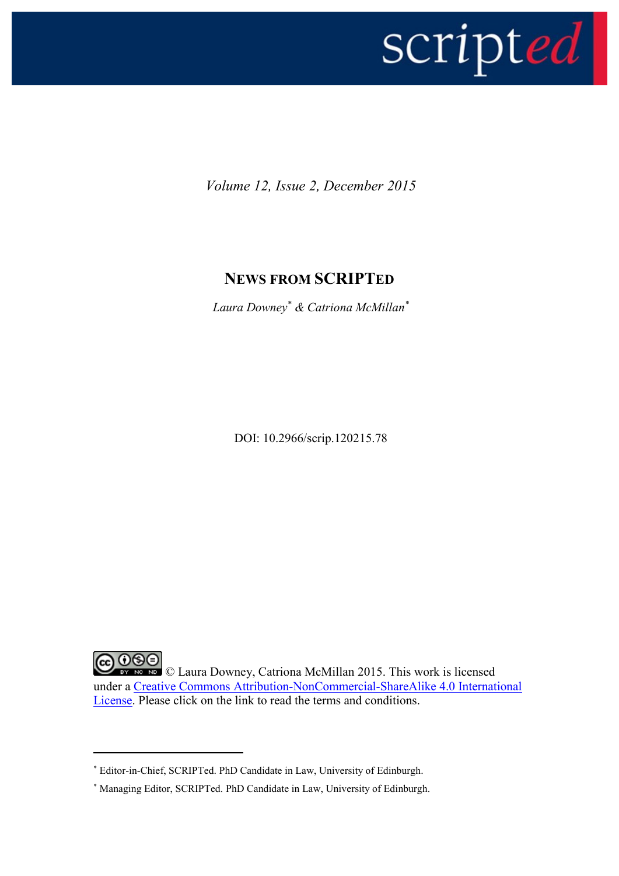

*Volume 12, Issue 2, December 2015*

## **NEWS FROM SCRIPTED**

*Laura Downey\* & Catriona McMillan\**

DOI: 10.2966/scrip.120215.78

COOSO Laura Downey, Catriona McMillan 2015. This work is licensed under a [Creative Commons Attribution-NonCommercial-ShareAlike 4.0 International](http://creativecommons.org/licenses/by-nc-sa/4.0/legalcode)  [License.](http://creativecommons.org/licenses/by-nc-sa/4.0/legalcode) Please click on the link to read the terms and conditions.

**.** 

<sup>\*</sup> Editor-in-Chief, SCRIPTed. PhD Candidate in Law, University of Edinburgh.

<sup>\*</sup> Managing Editor, SCRIPTed. PhD Candidate in Law, University of Edinburgh.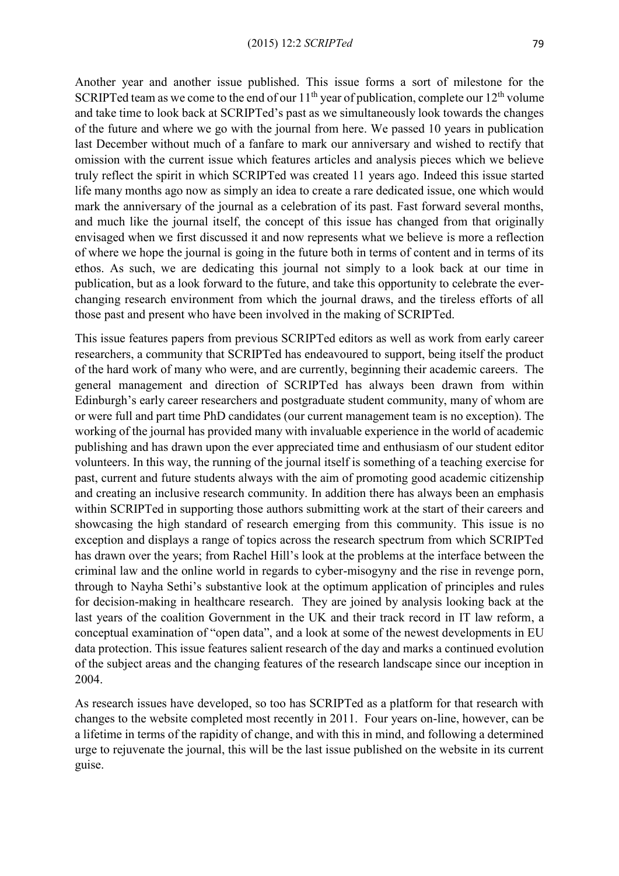Another year and another issue published. This issue forms a sort of milestone for the SCRIPTed team as we come to the end of our  $11<sup>th</sup>$  year of publication, complete our  $12<sup>th</sup>$  volume and take time to look back at SCRIPTed's past as we simultaneously look towards the changes of the future and where we go with the journal from here. We passed 10 years in publication last December without much of a fanfare to mark our anniversary and wished to rectify that omission with the current issue which features articles and analysis pieces which we believe truly reflect the spirit in which SCRIPTed was created 11 years ago. Indeed this issue started life many months ago now as simply an idea to create a rare dedicated issue, one which would mark the anniversary of the journal as a celebration of its past. Fast forward several months, and much like the journal itself, the concept of this issue has changed from that originally envisaged when we first discussed it and now represents what we believe is more a reflection of where we hope the journal is going in the future both in terms of content and in terms of its ethos. As such, we are dedicating this journal not simply to a look back at our time in publication, but as a look forward to the future, and take this opportunity to celebrate the everchanging research environment from which the journal draws, and the tireless efforts of all those past and present who have been involved in the making of SCRIPTed.

This issue features papers from previous SCRIPTed editors as well as work from early career researchers, a community that SCRIPTed has endeavoured to support, being itself the product of the hard work of many who were, and are currently, beginning their academic careers. The general management and direction of SCRIPTed has always been drawn from within Edinburgh's early career researchers and postgraduate student community, many of whom are or were full and part time PhD candidates (our current management team is no exception). The working of the journal has provided many with invaluable experience in the world of academic publishing and has drawn upon the ever appreciated time and enthusiasm of our student editor volunteers. In this way, the running of the journal itself is something of a teaching exercise for past, current and future students always with the aim of promoting good academic citizenship and creating an inclusive research community. In addition there has always been an emphasis within SCRIPTed in supporting those authors submitting work at the start of their careers and showcasing the high standard of research emerging from this community. This issue is no exception and displays a range of topics across the research spectrum from which SCRIPTed has drawn over the years; from Rachel Hill's look at the problems at the interface between the criminal law and the online world in regards to cyber-misogyny and the rise in revenge porn, through to Nayha Sethi's substantive look at the optimum application of principles and rules for decision-making in healthcare research. They are joined by analysis looking back at the last years of the coalition Government in the UK and their track record in IT law reform, a conceptual examination of "open data", and a look at some of the newest developments in EU data protection. This issue features salient research of the day and marks a continued evolution of the subject areas and the changing features of the research landscape since our inception in 2004.

As research issues have developed, so too has SCRIPTed as a platform for that research with changes to the website completed most recently in 2011. Four years on-line, however, can be a lifetime in terms of the rapidity of change, and with this in mind, and following a determined urge to rejuvenate the journal, this will be the last issue published on the website in its current guise.